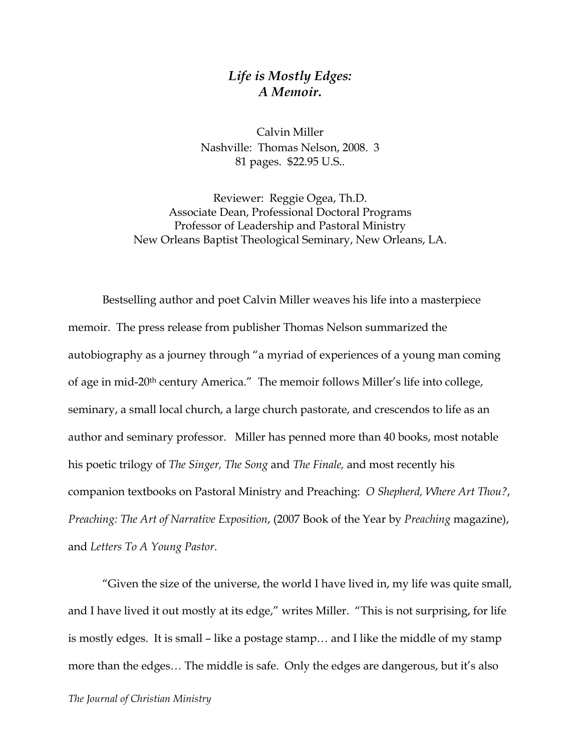## *Life is Mostly Edges: A Memoir***.**

Calvin Miller Nashville: Thomas Nelson, 2008. 3 81 pages. \$22.95 U.S..

Reviewer: Reggie Ogea, Th.D. Associate Dean, Professional Doctoral Programs Professor of Leadership and Pastoral Ministry New Orleans Baptist Theological Seminary, New Orleans, LA.

Bestselling author and poet Calvin Miller weaves his life into a masterpiece memoir. The press release from publisher Thomas Nelson summarized the autobiography as a journey through "a myriad of experiences of a young man coming of age in mid-20th century America." The memoir follows Miller's life into college, seminary, a small local church, a large church pastorate, and crescendos to life as an author and seminary professor. Miller has penned more than 40 books, most notable his poetic trilogy of *The Singer, The Song* and *The Finale,* and most recently his companion textbooks on Pastoral Ministry and Preaching: *O Shepherd, Where Art Thou?*, *Preaching: The Art of Narrative Exposition*, (2007 Book of the Year by *Preaching* magazine), and *Letters To A Young Pastor*.

"Given the size of the universe, the world I have lived in, my life was quite small, and I have lived it out mostly at its edge," writes Miller. "This is not surprising, for life is mostly edges. It is small – like a postage stamp… and I like the middle of my stamp more than the edges… The middle is safe. Only the edges are dangerous, but it's also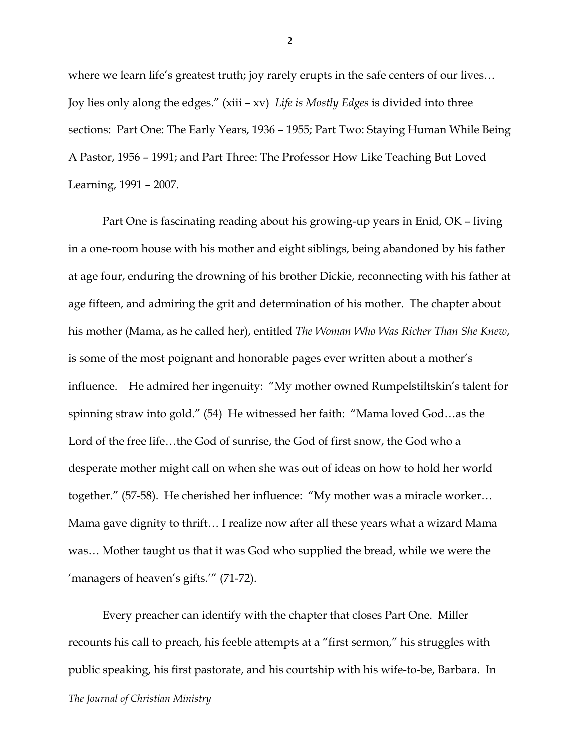where we learn life's greatest truth; joy rarely erupts in the safe centers of our lives... Joy lies only along the edges." (xiii – xv) *Life is Mostly Edges* is divided into three sections: Part One: The Early Years, 1936 – 1955; Part Two: Staying Human While Being A Pastor, 1956 – 1991; and Part Three: The Professor How Like Teaching But Loved Learning, 1991 – 2007.

Part One is fascinating reading about his growing-up years in Enid, OK – living in a one-room house with his mother and eight siblings, being abandoned by his father at age four, enduring the drowning of his brother Dickie, reconnecting with his father at age fifteen, and admiring the grit and determination of his mother. The chapter about his mother (Mama, as he called her), entitled *The Woman Who Was Richer Than She Knew*, is some of the most poignant and honorable pages ever written about a mother's influence. He admired her ingenuity: "My mother owned Rumpelstiltskin's talent for spinning straw into gold." (54) He witnessed her faith: "Mama loved God…as the Lord of the free life…the God of sunrise, the God of first snow, the God who a desperate mother might call on when she was out of ideas on how to hold her world together." (57-58). He cherished her influence: "My mother was a miracle worker… Mama gave dignity to thrift… I realize now after all these years what a wizard Mama was… Mother taught us that it was God who supplied the bread, while we were the 'managers of heaven's gifts.'" (71-72).

*The Journal of Christian Ministry* Every preacher can identify with the chapter that closes Part One. Miller recounts his call to preach, his feeble attempts at a "first sermon," his struggles with public speaking, his first pastorate, and his courtship with his wife-to-be, Barbara. In

2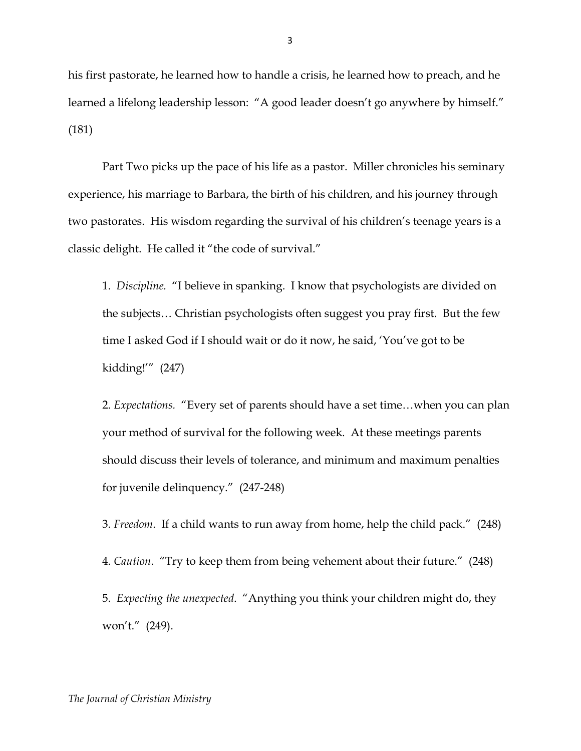his first pastorate, he learned how to handle a crisis, he learned how to preach, and he learned a lifelong leadership lesson: "A good leader doesn't go anywhere by himself." (181)

Part Two picks up the pace of his life as a pastor. Miller chronicles his seminary experience, his marriage to Barbara, the birth of his children, and his journey through two pastorates. His wisdom regarding the survival of his children's teenage years is a classic delight. He called it "the code of survival."

1. *Discipline.* "I believe in spanking. I know that psychologists are divided on the subjects… Christian psychologists often suggest you pray first. But the few time I asked God if I should wait or do it now, he said, 'You've got to be kidding!'" (247)

2. *Expectations.* "Every set of parents should have a set time…when you can plan your method of survival for the following week. At these meetings parents should discuss their levels of tolerance, and minimum and maximum penalties for juvenile delinquency." (247-248)

3. *Freedom*. If a child wants to run away from home, help the child pack." (248) 4. *Caution*. "Try to keep them from being vehement about their future." (248) 5. *Expecting the unexpected*. "Anything you think your children might do, they won't." (249).

3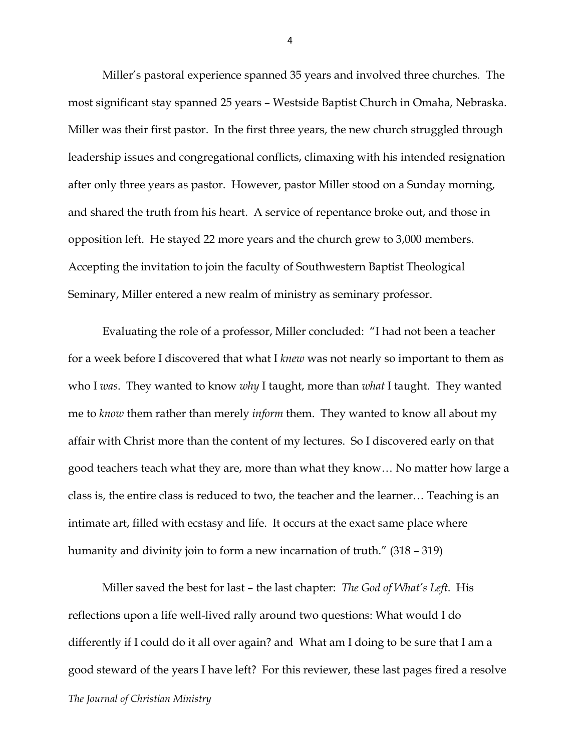Miller's pastoral experience spanned 35 years and involved three churches. The most significant stay spanned 25 years – Westside Baptist Church in Omaha, Nebraska. Miller was their first pastor. In the first three years, the new church struggled through leadership issues and congregational conflicts, climaxing with his intended resignation after only three years as pastor. However, pastor Miller stood on a Sunday morning, and shared the truth from his heart. A service of repentance broke out, and those in opposition left. He stayed 22 more years and the church grew to 3,000 members. Accepting the invitation to join the faculty of Southwestern Baptist Theological Seminary, Miller entered a new realm of ministry as seminary professor.

Evaluating the role of a professor, Miller concluded: "I had not been a teacher for a week before I discovered that what I *knew* was not nearly so important to them as who I *was*. They wanted to know *why* I taught, more than *what* I taught. They wanted me to *know* them rather than merely *inform* them. They wanted to know all about my affair with Christ more than the content of my lectures. So I discovered early on that good teachers teach what they are, more than what they know… No matter how large a class is, the entire class is reduced to two, the teacher and the learner… Teaching is an intimate art, filled with ecstasy and life. It occurs at the exact same place where humanity and divinity join to form a new incarnation of truth." (318 – 319)

*The Journal of Christian Ministry* Miller saved the best for last – the last chapter: *The God of What's Left*. His reflections upon a life well-lived rally around two questions: What would I do differently if I could do it all over again? and What am I doing to be sure that I am a good steward of the years I have left? For this reviewer, these last pages fired a resolve

4